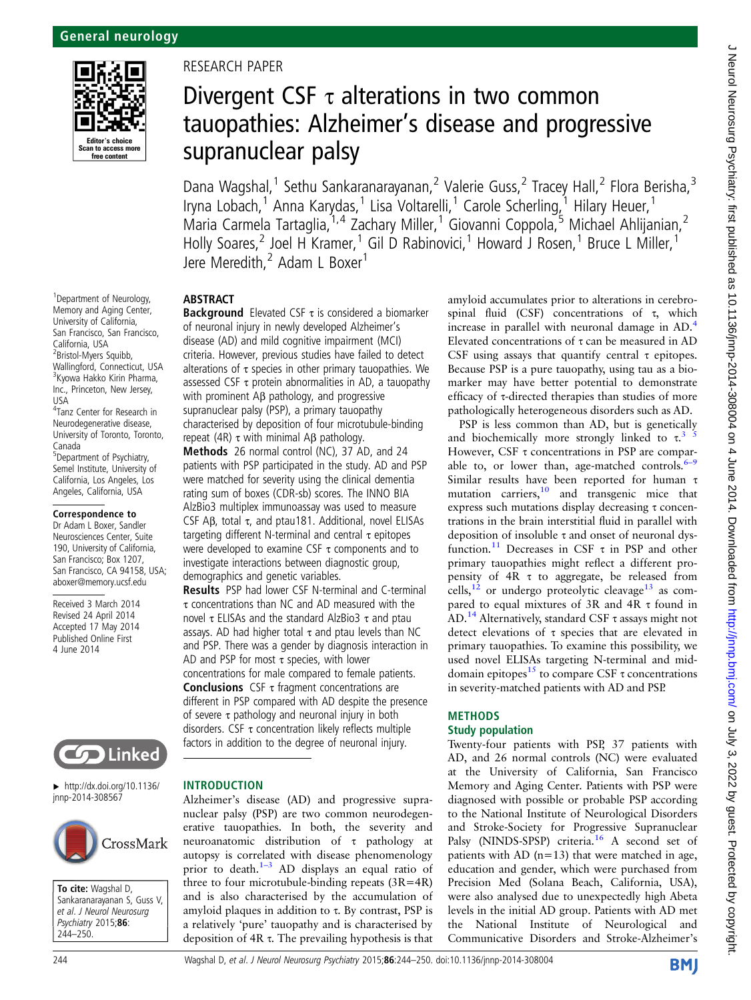

<sup>1</sup> Department of Neurology, Memory and Aging Center, University of California, San Francisco, San Francisco, California, USA 2 Bristol-Myers Squibb, Wallingford, Connecticut, USA <sup>3</sup>Kyowa Hakko Kirin Pharma, Inc., Princeton, New Jersey, USA 4 Tanz Center for Research in

Neurodegenerative disease, University of Toronto, Toronto, Canada 5 Department of Psychiatry, Semel Institute, University of California, Los Angeles, Los Angeles, California, USA

#### Correspondence to

Dr Adam L Boxer, Sandler Neurosciences Center, Suite 190, University of California, San Francisco; Box 1207, San Francisco, CA 94158, USA; aboxer@memory.ucsf.edu

Received 3 March 2014 Revised 24 April 2014 Accepted 17 May 2014 Published Online First 4 June 2014



▸ [http://dx.doi.org/10.1136/](http://dx.doi.org/10.1136/jnnp-2014-308567) [jnnp-2014-308567](http://dx.doi.org/10.1136/jnnp-2014-308567)



To cite: Wagshal D, Sankaranarayanan S, Guss V, et al. J Neurol Neurosurg Psychiatry 2015;86: 244–250.

# RESEARCH PAPER

# Divergent CSF  $\tau$  alterations in two common tauopathies: Alzheimer's disease and progressive supranuclear palsy

Dana Wagshal,<sup>1</sup> Sethu Sankaranarayanan,<sup>2</sup> Valerie Guss,<sup>2</sup> Tracey Hall,<sup>2</sup> Flora Berisha,<sup>3</sup> Iryna Lobach,<sup>1</sup> Anna Karydas,<sup>1</sup> Lisa Voltarelli,<sup>1</sup> Carole Scherling,<sup>1</sup> Hilary Heuer,<sup>1</sup> Maria Carmela Tartaglia, <sup>1,4</sup> Zachary Miller, <sup>1</sup> Giovanni Coppola, <sup>5</sup> Michael Ahlijanian, <sup>2</sup> Holly Soares,<sup>2</sup> Joel H Kramer,<sup>1</sup> Gil D Rabinovici,<sup>1</sup> Howard J Rosen,<sup>1</sup> Bruce L Miller,<sup>1</sup> Jere Meredith,<sup>2</sup> Adam L Boxer<sup>1</sup>

#### ABSTRACT

**Background** Elevated CSF  $\tau$  is considered a biomarker of neuronal injury in newly developed Alzheimer's disease (AD) and mild cognitive impairment (MCI) criteria. However, previous studies have failed to detect alterations of  $\tau$  species in other primary tauopathies. We assessed CSF  $\tau$  protein abnormalities in AD, a tauopathy with prominent Aβ pathology, and progressive supranuclear palsy (PSP), a primary tauopathy characterised by deposition of four microtubule-binding repeat (4R)  $\tau$  with minimal Aβ pathology.

Methods 26 normal control (NC), 37 AD, and 24 patients with PSP participated in the study. AD and PSP were matched for severity using the clinical dementia rating sum of boxes (CDR-sb) scores. The INNO BIA AlzBio3 multiplex immunoassay was used to measure CSF Aβ, total τ, and ptau181. Additional, novel ELISAs targeting different N-terminal and central  $τ$  epitopes were developed to examine CSF  $\tau$  components and to investigate interactions between diagnostic group, demographics and genetic variables.

Results PSP had lower CSF N-terminal and C-terminal τ concentrations than NC and AD measured with the novel τ ELISAs and the standard AlzBio3 τ and ptau assays. AD had higher total  $\tau$  and ptau levels than NC and PSP. There was a gender by diagnosis interaction in AD and PSP for most  $\tau$  species, with lower concentrations for male compared to female patients. **Conclusions** CSF  $\tau$  fragment concentrations are different in PSP compared with AD despite the presence of severe  $\tau$  pathology and neuronal injury in both disorders. CSF  $\tau$  concentration likely reflects multiple factors in addition to the degree of neuronal injury.

#### INTRODUCTION

Alzheimer's disease (AD) and progressive supranuclear palsy (PSP) are two common neurodegenerative tauopathies. In both, the severity and neuroanatomic distribution of τ pathology at autopsy is correlated with disease phenomenology prior to death.<sup>1-3</sup> AD displays an equal ratio of three to four microtubule-binding repeats  $(3R=4R)$ and is also characterised by the accumulation of amyloid plaques in addition to τ. By contrast, PSP is a relatively 'pure' tauopathy and is characterised by deposition of 4R τ. The prevailing hypothesis is that amyloid accumulates prior to alterations in cerebrospinal fluid (CSF) concentrations of  $τ$ , which increase in parallel with neuronal damage in AD.<sup>[4](#page-5-0)</sup> Elevated concentrations of  $\tau$  can be measured in AD CSF using assays that quantify central  $\tau$  epitopes. Because PSP is a pure tauopathy, using tau as a biomarker may have better potential to demonstrate efficacy of τ-directed therapies than studies of more pathologically heterogeneous disorders such as AD.

PSP is less common than AD, but is genetically and biochemically more strongly linked to  $\tau^{3/5}$ However, CSF τ concentrations in PSP are comparable to, or lower than, age-matched controls. $6-9$  $6-9$ Similar results have been reported for human τ mutation carriers,<sup>[10](#page-5-0)</sup> and transgenic mice that express such mutations display decreasing τ concentrations in the brain interstitial fluid in parallel with deposition of insoluble τ and onset of neuronal dys-function.<sup>[11](#page-5-0)</sup> Decreases in CSF  $\tau$  in PSP and other primary tauopathies might reflect a different propensity of 4R τ to aggregate, be released from cells,  $^{12}$  $^{12}$  $^{12}$  or undergo proteolytic cleavage  $^{13}$  $^{13}$  $^{13}$  as compared to equal mixtures of 3R and 4R τ found in AD.<sup>[14](#page-5-0)</sup> Alternatively, standard CSF  $\tau$  assays might not detect elevations of τ species that are elevated in primary tauopathies. To examine this possibility, we used novel ELISAs targeting N-terminal and middomain epitopes<sup>15</sup> to compare CSF  $\tau$  concentrations in severity-matched patients with AD and PSP.

#### METHODS

## Study population

Twenty-four patients with PSP, 37 patients with AD, and 26 normal controls (NC) were evaluated at the University of California, San Francisco Memory and Aging Center. Patients with PSP were diagnosed with possible or probable PSP according to the National Institute of Neurological Disorders and Stroke-Society for Progressive Supranuclear Palsy (NINDS-SPSP) criteria.<sup>[16](#page-5-0)</sup> A second set of patients with AD ( $n=13$ ) that were matched in age, education and gender, which were purchased from Precision Med (Solana Beach, California, USA), were also analysed due to unexpectedly high Abeta levels in the initial AD group. Patients with AD met the National Institute of Neurological and Communicative Disorders and Stroke-Alzheimer's

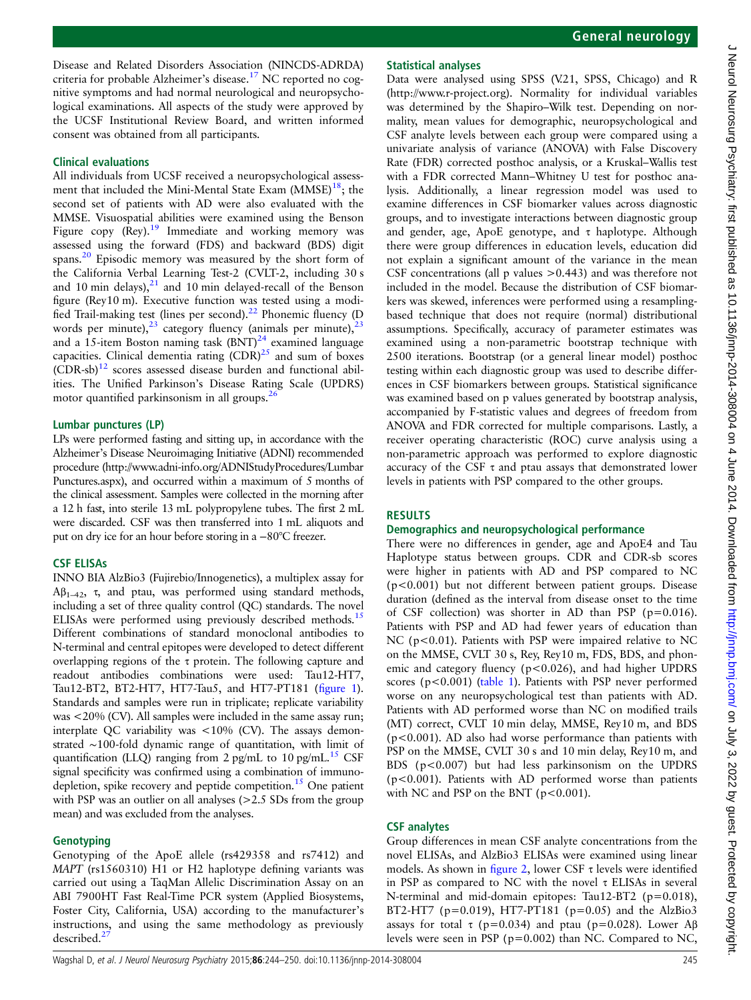Disease and Related Disorders Association (NINCDS-ADRDA) criteria for probable Alzheimer's disease.[17](#page-5-0) NC reported no cognitive symptoms and had normal neurological and neuropsychological examinations. All aspects of the study were approved by the UCSF Institutional Review Board, and written informed consent was obtained from all participants.

#### Clinical evaluations

All individuals from UCSF received a neuropsychological assessment that included the Mini-Mental State Exam  $(MMSE)^{18}$ ; the second set of patients with AD were also evaluated with the MMSE. Visuospatial abilities were examined using the Benson Figure copy  $(\text{Re}y)$ .<sup>[19](#page-5-0)</sup> Immediate and working memory was assessed using the forward (FDS) and backward (BDS) digit spans[.20](#page-5-0) Episodic memory was measured by the short form of the California Verbal Learning Test-2 (CVLT-2, including 30 s and 10 min delays), $^{21}$  $^{21}$  $^{21}$  and 10 min delayed-recall of the Benson figure (Rey10 m). Executive function was tested using a modi-fied Trail-making test (lines per second).<sup>[22](#page-5-0)</sup> Phonemic fluency (D words per minute), $^{23}$  $^{23}$  $^{23}$  category fluency (animals per minute), $^{23}$ and a 15-item Boston naming task  $(BNT)^{24}$  $(BNT)^{24}$  $(BNT)^{24}$  examined language capacities. Clinical dementia rating  $(CDR)^{25}$  and sum of boxes  $(CDR-sb)^{12}$  $(CDR-sb)^{12}$  $(CDR-sb)^{12}$  scores assessed disease burden and functional abilities. The Unified Parkinson's Disease Rating Scale (UPDRS) motor quantified parkinsonism in all groups.<sup>[26](#page-5-0)</sup>

## Lumbar punctures (LP)

LPs were performed fasting and sitting up, in accordance with the Alzheimer's Disease Neuroimaging Initiative (ADNI) recommended procedure ([http://www.adni-info.org/ADNIStudyProcedures/Lumbar](http://www.adni-info.org/ADNIStudyProcedures/LumbarPunctures.aspx) [Punctures.aspx\)](http://www.adni-info.org/ADNIStudyProcedures/LumbarPunctures.aspx), and occurred within a maximum of 5 months of the clinical assessment. Samples were collected in the morning after a 12 h fast, into sterile 13 mL polypropylene tubes. The first 2 mL were discarded. CSF was then transferred into 1 mL aliquots and put on dry ice for an hour before storing in a −80°C freezer.

## CSF ELISAs

INNO BIA AlzBio3 (Fujirebio/Innogenetics), a multiplex assay for  $Aβ<sub>1–42</sub>$ , τ, and ptau, was performed using standard methods, including a set of three quality control (QC) standards. The novel ELISAs were performed using previously described methods.<sup>15</sup> Different combinations of standard monoclonal antibodies to N-terminal and central epitopes were developed to detect different overlapping regions of the  $\tau$  protein. The following capture and readout antibodies combinations were used: Tau12-HT7, Tau12-BT2, BT2-HT7, HT7-Tau5, and HT7-PT181 (fi[gure 1](#page-2-0)). Standards and samples were run in triplicate; replicate variability was <20% (CV). All samples were included in the same assay run; interplate QC variability was <10% (CV). The assays demonstrated ∼100-fold dynamic range of quantitation, with limit of quantification (LLQ) ranging from 2 pg/mL to 10 pg/mL.<sup>[15](#page-5-0)</sup> CSF signal specificity was confirmed using a combination of immuno-depletion, spike recovery and peptide competition.<sup>[15](#page-5-0)</sup> One patient with PSP was an outlier on all analyses ( $>2.5$  SDs from the group mean) and was excluded from the analyses.

## Genotyping

Genotyping of the ApoE allele (rs429358 and rs7412) and MAPT (rs1560310) H1 or H2 haplotype defining variants was carried out using a TaqMan Allelic Discrimination Assay on an ABI 7900HT Fast Real-Time PCR system (Applied Biosystems, Foster City, California, USA) according to the manufacturer's instructions, and using the same methodology as previously described.<sup>2</sup>

# Statistical analyses

Data were analysed using SPSS (V.21, SPSS, Chicago) and R (<http://www.r-project.org>). Normality for individual variables was determined by the Shapiro–Wilk test. Depending on normality, mean values for demographic, neuropsychological and CSF analyte levels between each group were compared using a univariate analysis of variance (ANOVA) with False Discovery Rate (FDR) corrected posthoc analysis, or a Kruskal–Wallis test with a FDR corrected Mann–Whitney U test for posthoc analysis. Additionally, a linear regression model was used to examine differences in CSF biomarker values across diagnostic groups, and to investigate interactions between diagnostic group and gender, age, ApoE genotype, and  $\tau$  haplotype. Although there were group differences in education levels, education did not explain a significant amount of the variance in the mean CSF concentrations (all p values >0.443) and was therefore not included in the model. Because the distribution of CSF biomarkers was skewed, inferences were performed using a resamplingbased technique that does not require (normal) distributional assumptions. Specifically, accuracy of parameter estimates was examined using a non-parametric bootstrap technique with 2500 iterations. Bootstrap (or a general linear model) posthoc testing within each diagnostic group was used to describe differences in CSF biomarkers between groups. Statistical significance was examined based on p values generated by bootstrap analysis, accompanied by F-statistic values and degrees of freedom from ANOVA and FDR corrected for multiple comparisons. Lastly, a receiver operating characteristic (ROC) curve analysis using a non-parametric approach was performed to explore diagnostic accuracy of the CSF τ and ptau assays that demonstrated lower levels in patients with PSP compared to the other groups.

## **RESULTS**

## Demographics and neuropsychological performance

There were no differences in gender, age and ApoE4 and Tau Haplotype status between groups. CDR and CDR-sb scores were higher in patients with AD and PSP compared to NC (p<0.001) but not different between patient groups. Disease duration (defined as the interval from disease onset to the time of CSF collection) was shorter in AD than PSP (p=0.016). Patients with PSP and AD had fewer years of education than NC (p<0.01). Patients with PSP were impaired relative to NC on the MMSE, CVLT 30 s, Rey, Rey10 m, FDS, BDS, and phonemic and category fluency ( $p < 0.026$ ), and had higher UPDRS scores (p<0.001) [\(table 1\)](#page-3-0). Patients with PSP never performed worse on any neuropsychological test than patients with AD. Patients with AD performed worse than NC on modified trails (MT) correct, CVLT 10 min delay, MMSE, Rey10 m, and BDS (p<0.001). AD also had worse performance than patients with PSP on the MMSE, CVLT 30 s and 10 min delay, Rey10 m, and BDS (p<0.007) but had less parkinsonism on the UPDRS (p<0.001). Patients with AD performed worse than patients with NC and PSP on the BNT ( $p < 0.001$ ).

## CSF analytes

Group differences in mean CSF analyte concentrations from the novel ELISAs, and AlzBio3 ELISAs were examined using linear models. As shown in fi[gure 2](#page-4-0), lower CSF  $\tau$  levels were identified in PSP as compared to NC with the novel τ ELISAs in several N-terminal and mid-domain epitopes: Tau12-BT2 (p=0.018), BT2-HT7 ( $p=0.019$ ), HT7-PT181 ( $p=0.05$ ) and the AlzBio3 assays for total τ (p=0.034) and ptau (p=0.028). Lower Aβ levels were seen in PSP (p=0.002) than NC. Compared to NC,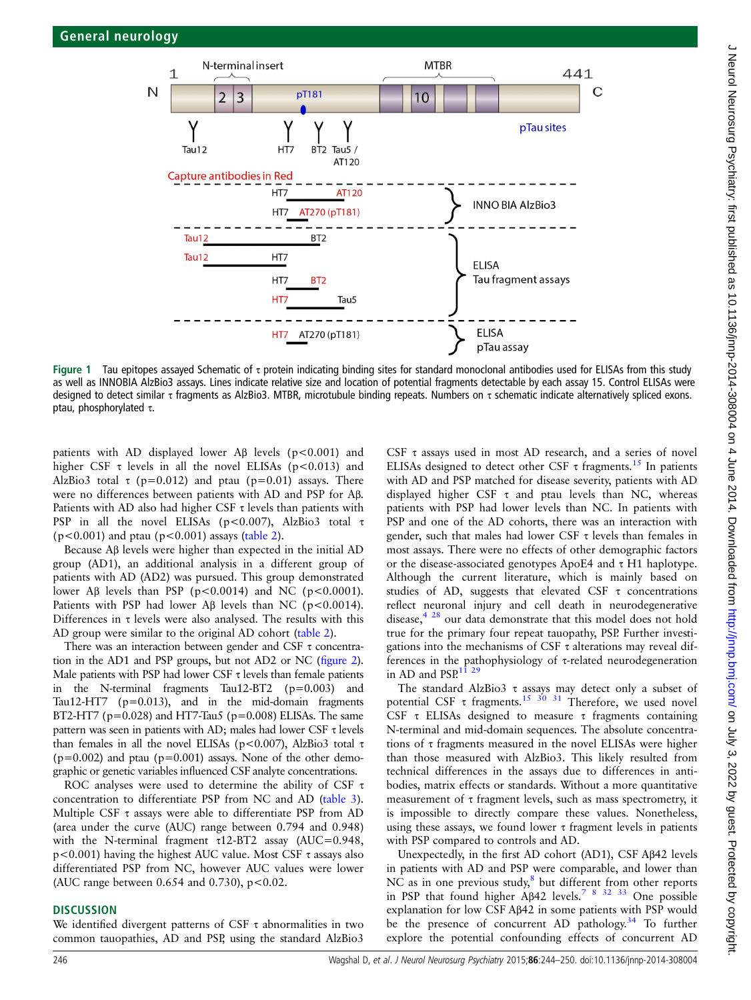<span id="page-2-0"></span>

Figure 1 Tau epitopes assayed Schematic of  $\tau$  protein indicating binding sites for standard monoclonal antibodies used for ELISAs from this study as well as INNOBIA AlzBio3 assays. Lines indicate relative size and location of potential fragments detectable by each assay 15. Control ELISAs were designed to detect similar τ fragments as AlzBio3. MTBR, microtubule binding repeats. Numbers on τ schematic indicate alternatively spliced exons. ptau, phosphorylated τ.

patients with AD displayed lower A $\beta$  levels (p<0.001) and higher CSF  $\tau$  levels in all the novel ELISAs (p<0.013) and AlzBio3 total  $\tau$  (p=0.012) and ptau (p=0.01) assays. There were no differences between patients with AD and PSP for Aβ. Patients with AD also had higher CSF  $\tau$  levels than patients with PSP in all the novel ELISAs ( $p$ <0.007), AlzBio3 total  $\tau$  $(p<0.001)$  and ptau  $(p<0.001)$  assays [\(table 2](#page-4-0)).

Because Aβ levels were higher than expected in the initial AD group (AD1), an additional analysis in a different group of patients with AD (AD2) was pursued. This group demonstrated lower Aβ levels than PSP ( $p < 0.0014$ ) and NC ( $p < 0.0001$ ). Patients with PSP had lower Aβ levels than NC (p<0.0014). Differences in  $\tau$  levels were also analysed. The results with this AD group were similar to the original AD cohort ([table 2\)](#page-4-0).

There was an interaction between gender and CSF τ concentration in the AD1 and PSP groups, but not AD2 or NC (fi[gure 2](#page-4-0)). Male patients with PSP had lower CSF  $\tau$  levels than female patients in the N-terminal fragments Tau12-BT2 (p=0.003) and Tau12-HT7 (p=0.013), and in the mid-domain fragments BT2-HT7 ( $p=0.028$ ) and HT7-Tau5 ( $p=0.008$ ) ELISAs. The same pattern was seen in patients with AD; males had lower CSF τ levels than females in all the novel ELISAs (p<0.007), AlzBio3 total τ  $(p=0.002)$  and ptau  $(p=0.001)$  assays. None of the other demographic or genetic variables influenced CSF analyte concentrations.

ROC analyses were used to determine the ability of CSF τ concentration to differentiate PSP from NC and AD [\(table 3](#page-5-0)). Multiple CSF  $\tau$  assays were able to differentiate PSP from AD (area under the curve (AUC) range between 0.794 and 0.948) with the N-terminal fragment τ12-BT2 assay (AUC=0.948, p<0.001) having the highest AUC value. Most CSF τ assays also differentiated PSP from NC, however AUC values were lower (AUC range between  $0.654$  and  $0.730$ ),  $p < 0.02$ .

#### **DISCUSSION**

We identified divergent patterns of CSF  $\tau$  abnormalities in two common tauopathies, AD and PSP, using the standard AlzBio3

CSF τ assays used in most AD research, and a series of novel ELISAs designed to detect other CSF  $\tau$  fragments.<sup>[15](#page-5-0)</sup> In patients with AD and PSP matched for disease severity, patients with AD displayed higher CSF  $\tau$  and ptau levels than NC, whereas patients with PSP had lower levels than NC. In patients with PSP and one of the AD cohorts, there was an interaction with gender, such that males had lower CSF  $\tau$  levels than females in most assays. There were no effects of other demographic factors or the disease-associated genotypes ApoE4 and τ H1 haplotype. Although the current literature, which is mainly based on studies of AD, suggests that elevated CSF  $\tau$  concentrations reflect neuronal injury and cell death in neurodegenerative disease,<sup>4 [28](#page-6-0)</sup> our data demonstrate that this model does not hold true for the primary four repeat tauopathy, PSP. Further investigations into the mechanisms of CSF τ alterations may reveal differences in the pathophysiology of τ-related neurodegeneration in AD and PSP. $1^{\frac{1}{2}^{\frac{9}{2}}}$ 

The standard AlzBio3 τ assays may detect only a subset of potential CSF τ fragments.<sup>[15](#page-5-0) 30</sup> 31 Therefore, we used novel CSF τ ELISAs designed to measure τ fragments containing N-terminal and mid-domain sequences. The absolute concentrations of τ fragments measured in the novel ELISAs were higher than those measured with AlzBio3. This likely resulted from technical differences in the assays due to differences in antibodies, matrix effects or standards. Without a more quantitative measurement of τ fragment levels, such as mass spectrometry, it is impossible to directly compare these values. Nonetheless, using these assays, we found lower  $\tau$  fragment levels in patients with PSP compared to controls and AD.

Unexpectedly, in the first AD cohort (AD1), CSF Aβ42 levels in patients with AD and PSP were comparable, and lower than NC as in one previous study, $8$  but different from other reports in PSP that found higher Aβ42 levels.[7 8](#page-5-0) [32 33](#page-6-0) One possible explanation for low CSF Aβ42 in some patients with PSP would be the presence of concurrent AD pathology.<sup>[34](#page-6-0)</sup> To further explore the potential confounding effects of concurrent AD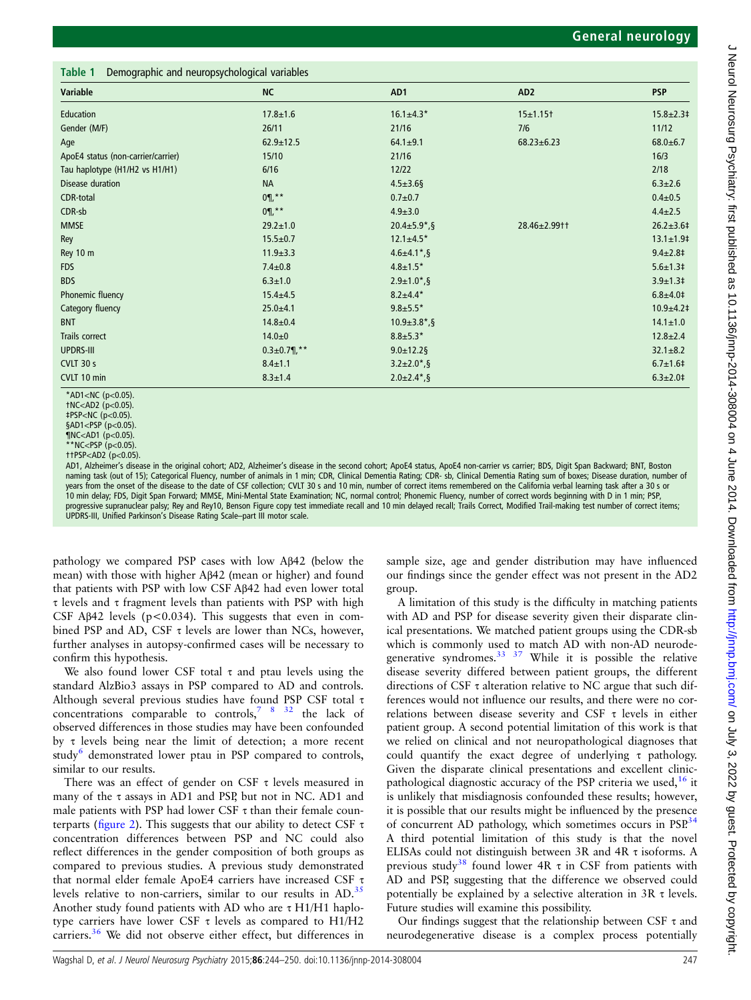<span id="page-3-0"></span>

| Variable                           | <b>NC</b>            | AD1                             | AD <sub>2</sub>  | <b>PSP</b>           |
|------------------------------------|----------------------|---------------------------------|------------------|----------------------|
| Education                          | $17.8 \pm 1.6$       | $16.1 \pm 4.3*$                 | $15 + 1.15$      | $15.8 \pm 2.3$ #     |
| Gender (M/F)                       | 26/11                | 21/16                           | 7/6              | 11/12                |
| Age                                | $62.9 \pm 12.5$      | $64.1 \pm 9.1$                  | $68.23 \pm 6.23$ | $68.0 + 6.7$         |
| ApoE4 status (non-carrier/carrier) | 15/10                | 21/16                           |                  | 16/3                 |
| Tau haplotype (H1/H2 vs H1/H1)     | 6/16                 | 12/22                           |                  | 2/18                 |
| Disease duration                   | <b>NA</b>            | $4.5 \pm 3.6$ §                 |                  | $6.3 \pm 2.6$        |
| CDR-total                          | $0\P$ ,**            | $0.7 + 0.7$                     |                  | $0.4 + 0.5$          |
| CDR-sb                             | $0\P$ , * *          | $4.9 \pm 3.0$                   |                  | $4.4 \pm 2.5$        |
| <b>MMSE</b>                        | $29.2 \pm 1.0$       | $20.4 \pm 5.9$ <sup>*</sup> , § | 28.46±2.99††     | $26.2 \pm 3.6 \pm 1$ |
| Rey                                | $15.5 \pm 0.7$       | $12.1 \pm 4.5*$                 |                  | $13.1 \pm 1.9$       |
| Rey 10 m                           | $11.9 \pm 3.3$       | $4.6 \pm 4.1$ <sup>*</sup> , §  |                  | $9.4 \pm 2.8 \pm$    |
| <b>FDS</b>                         | $7.4 \pm 0.8$        | $4.8 \pm 1.5*$                  |                  | $5.6 \pm 1.3$ ‡      |
| <b>BDS</b>                         | $6.3 \pm 1.0$        | $2.9 \pm 1.0$ <sup>*</sup> , §  |                  | $3.9 \pm 1.3$ #      |
| Phonemic fluency                   | $15.4 \pm 4.5$       | $8.2 \pm 4.4*$                  |                  | $6.8 + 4.0 +$        |
| Category fluency                   | $25.0 + 4.1$         | $9.8 + 5.5*$                    |                  | $10.9 + 4.2$         |
| <b>BNT</b>                         | $14.8 \pm 0.4$       | $10.9 \pm 3.8^*$ , §            |                  | $14.1 \pm 1.0$       |
| Trails correct                     | $14.0 + 0$           | $8.8 \pm 5.3*$                  |                  | $12.8 \pm 2.4$       |
| <b>UPDRS-III</b>                   | $0.3 \pm 0.7$ ¶, * * | $9.0 \pm 12.2$ §                |                  | $32.1 \pm 8.2$       |
| CVLT 30 s                          | $8.4 \pm 1.1$        | $3.2 \pm 2.0$ *, §              |                  | $6.7 \pm 1.6$ #      |
| CVLT 10 min                        | $8.3 \pm 1.4$        | $2.0 \pm 2.4$ <sup>*</sup> , §  |                  | $6.3 \pm 2.0 \pm$    |

\*AD1<NC (p<0.05). †NC<AD2 (p<0.05).

§AD1<PSP (p<0.05)

AD1, Alzheimer's disease in the original cohort; AD2, Alzheimer's disease in the second cohort; ApoE4 status, ApoE4 non-carrier vs carrier; BDS, Digit Span Backward; BNT, Boston naming task (out of 15); Categorical Fluency, number of animals in 1 min; CDR, Clinical Dementia Rating; CDR- sb, Clinical Dementia Rating sum of boxes; Disease duration, number of ears from the onset of the disease to the date of CSF collection; CVLT 30 s and 10 min, number of correct items remembered on the California verbal learning task after a 30 s or 10 min delay; FDS, Digit Span Forward; MMSE, Mini-Mental State Examination; NC, normal control; Phonemic Fluency, number of correct words beginning with D in 1 min; PSP, progressive supranuclear palsy; Rey and Rey10, Benson Figure copy test immediate recall and 10 min delayed recall; Trails Correct, Modified Trail-making test number of correct items; UPDRS-III, Unified Parkinson's Disease Rating Scale–part III motor scale.

pathology we compared PSP cases with low Aβ42 (below the mean) with those with higher Aβ42 (mean or higher) and found that patients with PSP with low CSF Aβ42 had even lower total τ levels and τ fragment levels than patients with PSP with high CSF A $\beta$ 42 levels (p<0.034). This suggests that even in combined PSP and AD, CSF  $\tau$  levels are lower than NCs, however, further analyses in autopsy-confirmed cases will be necessary to confirm this hypothesis.

We also found lower CSF total  $\tau$  and ptau levels using the standard AlzBio3 assays in PSP compared to AD and controls. Although several previous studies have found PSP CSF total τ concentrations comparable to controls,  $\frac{7}{8}$   $\frac{8}{32}$  the lack of observed differences in those studies may have been confounded by τ levels being near the limit of detection; a more recent study<sup>[6](#page-5-0)</sup> demonstrated lower ptau in PSP compared to controls, similar to our results.

There was an effect of gender on CSF  $\tau$  levels measured in many of the  $\tau$  assays in AD1 and PSP, but not in NC. AD1 and male patients with PSP had lower CSF  $\tau$  than their female counterparts (fi[gure 2](#page-4-0)). This suggests that our ability to detect CSF τ concentration differences between PSP and NC could also reflect differences in the gender composition of both groups as compared to previous studies. A previous study demonstrated that normal elder female ApoE4 carriers have increased CSF τ levels relative to non-carriers, similar to our results in  $AD$ .<sup>[35](#page-6-0)</sup> Another study found patients with AD who are τ H1/H1 haplotype carriers have lower CSF τ levels as compared to H1/H2 carriers.<sup>[36](#page-6-0)</sup> We did not observe either effect, but differences in sample size, age and gender distribution may have influenced our findings since the gender effect was not present in the AD2 group.

A limitation of this study is the difficulty in matching patients with AD and PSP for disease severity given their disparate clinical presentations. We matched patient groups using the CDR-sb which is commonly used to match AD with non-AD neurodegenerative syndromes. $33 \frac{37}{10}$  While it is possible the relative disease severity differed between patient groups, the different directions of CSF τ alteration relative to NC argue that such differences would not influence our results, and there were no correlations between disease severity and CSF τ levels in either patient group. A second potential limitation of this work is that we relied on clinical and not neuropathological diagnoses that could quantify the exact degree of underlying τ pathology. Given the disparate clinical presentations and excellent clinicpathological diagnostic accuracy of the PSP criteria we used,  $16$  it is unlikely that misdiagnosis confounded these results; however, it is possible that our results might be influenced by the presence of concurrent AD pathology, which sometimes occurs in PSP.<sup>[34](#page-6-0)</sup> A third potential limitation of this study is that the novel ELISAs could not distinguish between 3R and 4R τ isoforms. A previous study<sup>38</sup> found lower 4R  $\tau$  in CSF from patients with AD and PSP, suggesting that the difference we observed could potentially be explained by a selective alteration in  $3R \tau$  levels. Future studies will examine this possibility.

Our findings suggest that the relationship between CSF τ and neurodegenerative disease is a complex process potentially

<sup>‡</sup>PSP<NC (p<0.05).

<sup>¶</sup>NC<AD1 (p<0.05).

<sup>\*\*</sup>NC<PSP (p<0.05) ††PSP<AD2 (p<0.05).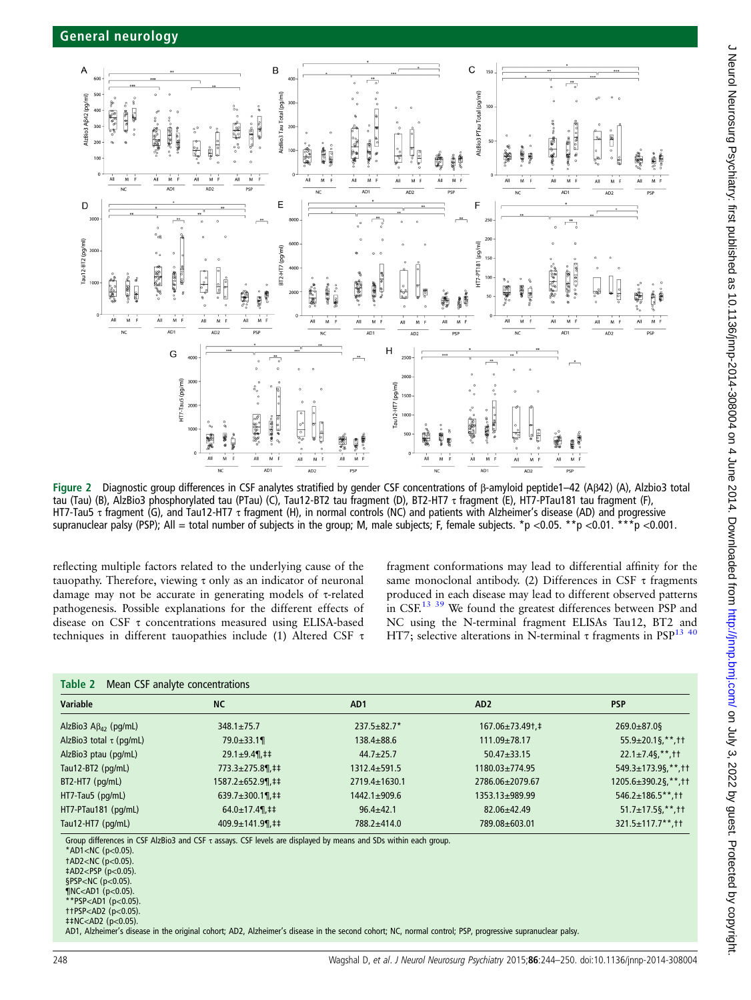<span id="page-4-0"></span>

Figure 2 Diagnostic group differences in CSF analytes stratified by gender CSF concentrations of β-amyloid peptide1–42 (Aβ42) (A), Alzbio3 total tau (Tau) (B), AlzBio3 phosphorylated tau (PTau) (C), Tau12-BT2 tau fragment (D), BT2-HT7 τ fragment (E), HT7-PTau181 tau fragment (F), HT7-Tau5 τ fragment (G), and Tau12-HT7 τ fragment (H), in normal controls (NC) and patients with Alzheimer's disease (AD) and progressive supranuclear palsy (PSP); All = total number of subjects in the group; M, male subjects; F, female subjects. \*p <0.05. \*\*p <0.01. \*\*\*p <0.001.

reflecting multiple factors related to the underlying cause of the tauopathy. Therefore, viewing τ only as an indicator of neuronal damage may not be accurate in generating models of τ-related pathogenesis. Possible explanations for the different effects of disease on CSF τ concentrations measured using ELISA-based techniques in different tauopathies include (1) Altered CSF τ

fragment conformations may lead to differential affinity for the same monoclonal antibody. (2) Differences in CSF τ fragments produced in each disease may lead to different observed patterns in CSF.<sup>[13](#page-5-0) [39](#page-6-0)</sup> We found the greatest differences between PSP and NC using the N-terminal fragment ELISAs Tau12, BT2 and HT7; selective alterations in N-terminal τ fragments in PSP<sup>13 [40](#page-6-0)</sup>

| <b>Variable</b>                        | <b>NC</b>                                 | AD <sub>1</sub>     | AD <sub>2</sub>         | <b>PSP</b>                     |
|----------------------------------------|-------------------------------------------|---------------------|-------------------------|--------------------------------|
| AlzBio3 $\mathsf{A}\beta_{42}$ (pg/mL) | $348.1 \pm 75.7$                          | $237.5 + 82.7*$     | $167.06 \pm 73.49$ t. ‡ | $269.0 \pm 87.0$ §             |
| AlzBio3 total $\tau$ (pg/mL)           | $79.0 \pm 33.1$                           | $138.4 + 88.6$      | $111.09 \pm 78.17$      | $55.9 \pm 20.1$ \$, **, † †    |
| AlzBio3 ptau (pg/mL)                   | $29.1 \pm 9.4$ , ##                       | $44.7 \pm 25.7$     | $50.47 + 33.15$         | $22.1 \pm 7.4$ \$,**, + +      |
| Tau12-BT2 $(pq/mL)$                    | $773.3 \pm 275.8$ \,\end{i}\$             | $1312.4 \pm 591.5$  | $1180.03 \pm 774.95$    | $549.3 \pm 173.9$ \$,**, tt    |
| $BT2-HT7$ ( $pq/mL$ )                  | 1587.2±652.9¶,‡‡                          | $2719.4 \pm 1630.1$ | 2786.06±2079.67         | $1205.6 \pm 390.2$ \$, **, † † |
| HT7-Tau5 (pg/mL)                       | 639.7 $\pm$ 300.1¶,‡‡                     | $1442.1 \pm 909.6$  | 1353.13±989.99          | $546.2 \pm 186.5$ **.tt        |
| HT7-PTau181 (pg/mL)                    | $64.0 \pm 17.4$ , 1.1                     | $96.4 \pm 42.1$     | $82.06 \pm 42.49$       | $51.7 \pm 17.5$ \$,**, ††      |
| Tau12-HT7 (pg/mL)                      | $409.9 \pm 141.9$ \,\test{\mathbf{1}{1}\$ | 788.2±414.0         | 789.08±603.01           | $321.5 \pm 117.7$ **.tt        |

\*AD1<NC ( $p$ <0.05).  $tAD2 < NC$  ( $p < 0.05$ ). ‡AD2<PSP (p<0.05). §PSP<NC (p<0.05).  $N < AD1$  (p<0.05)

\*\*PSP<AD1 (p<0.05). ††PSP<AD2 (p<0.05).

‡‡NC<AD2 (p<0.05).

AD1, Alzheimer's disease in the original cohort; AD2, Alzheimer's disease in the second cohort; NC, normal control; PSP, progressive supranuclear palsy.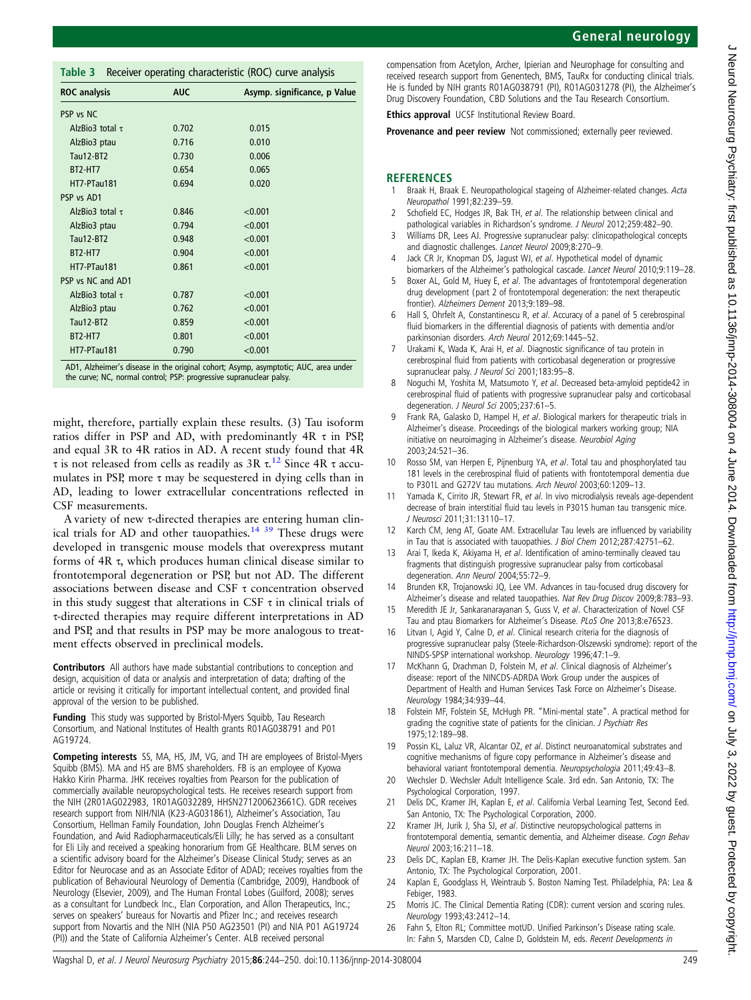compensation from Acetylon, Archer, Ipierian and Neurophage for consulting and received research support from Genentech, BMS, TauRx for conducting clinical trials. He is funded by NIH grants R01AG038791 (PI), R01AG031278 (PI), the Alzheimer's Drug Discovery Foundation, CBD Solutions and the Tau Research Consortium.

**Ethics approval** UCSF Institutional Review Board.

Provenance and peer review Not commissioned; externally peer reviewed.

# **REFERENCES**

- 1 Braak H, Braak E. Neuropathological stageing of Alzheimer-related changes. Acta Neuropathol 1991;82:239–59.
- 2 Schofield EC, Hodges JR, Bak TH, et al. The relationship between clinical and pathological variables in Richardson's syndrome. J Neurol 2012;259:482–90.
- 3 Williams DR, Lees AJ. Progressive supranuclear palsy: clinicopathological concepts and diagnostic challenges. Lancet Neurol 2009;8:270–9.
- 4 Jack CR Jr, Knopman DS, Jagust WJ, et al. Hypothetical model of dynamic biomarkers of the Alzheimer's pathological cascade. Lancet Neurol 2010;9:119-28.
- 5 Boxer AL, Gold M, Huey E, et al. The advantages of frontotemporal degeneration drug development (part 2 of frontotemporal degeneration: the next therapeutic frontier). Alzheimers Dement 2013;9:189–98.
- 6 Hall S, Ohrfelt A, Constantinescu R, et al. Accuracy of a panel of 5 cerebrospinal fluid biomarkers in the differential diagnosis of patients with dementia and/or parkinsonian disorders. Arch Neurol 2012;69:1445–52.
- 7 Urakami K, Wada K, Arai H, et al. Diagnostic significance of tau protein in cerebrospinal fluid from patients with corticobasal degeneration or progressive supranuclear palsy. J Neurol Sci 2001;183:95-8.
- Noguchi M, Yoshita M, Matsumoto Y, et al. Decreased beta-amyloid peptide42 in cerebrospinal fluid of patients with progressive supranuclear palsy and corticobasal degeneration. J Neurol Sci 2005;237:61-5.
- Frank RA, Galasko D, Hampel H, et al. Biological markers for therapeutic trials in Alzheimer's disease. Proceedings of the biological markers working group; NIA initiative on neuroimaging in Alzheimer's disease. Neurobiol Aging 2003;24:521–36.
- 10 Rosso SM, van Herpen E, Pijnenburg YA, et al. Total tau and phosphorylated tau 181 levels in the cerebrospinal fluid of patients with frontotemporal dementia due to P301L and G272V tau mutations. Arch Neurol 2003;60:1209–13.
- 11 Yamada K, Cirrito JR, Stewart FR, et al. In vivo microdialysis reveals age-dependent decrease of brain interstitial fluid tau levels in P301S human tau transgenic mice. J Neurosci 2011;31:13110–17.
- 12 Karch CM, Jeng AT, Goate AM. Extracellular Tau levels are influenced by variability in Tau that is associated with tauopathies. J Biol Chem 2012;287:42751–62.
- 13 Arai T, Ikeda K, Akiyama H, et al. Identification of amino-terminally cleaved tau fragments that distinguish progressive supranuclear palsy from corticobasal degeneration. Ann Neurol 2004;55:72–9.
- 14 Brunden KR, Trojanowski JQ, Lee VM. Advances in tau-focused drug discovery for Alzheimer's disease and related tauopathies. Nat Rev Drug Discov 2009;8:783–93.
- 15 Meredith JE Jr, Sankaranarayanan S, Guss V, et al. Characterization of Novel CSF Tau and ptau Biomarkers for Alzheimer's Disease. PLoS One 2013;8:e76523.
- 16 Litvan I, Agid Y, Calne D, et al. Clinical research criteria for the diagnosis of progressive supranuclear palsy (Steele-Richardson-Olszewski syndrome): report of the NINDS-SPSP international workshop. Neurology 1996;47:1–9.
- 17 McKhann G, Drachman D, Folstein M, et al. Clinical diagnosis of Alzheimer's disease: report of the NINCDS-ADRDA Work Group under the auspices of Department of Health and Human Services Task Force on Alzheimer's Disease. Neurology 1984;34:939–44.
- 18 Folstein MF, Folstein SE, McHugh PR. "Mini-mental state". A practical method for grading the cognitive state of patients for the clinician. J Psychiatr Res 1975;12:189–98.
- 19 Possin KL, Laluz VR, Alcantar OZ, et al. Distinct neuroanatomical substrates and cognitive mechanisms of figure copy performance in Alzheimer's disease and behavioral variant frontotemporal dementia. Neuropsychologia 2011;49:43–8.
- 20 Wechsler D. Wechsler Adult Intelligence Scale. 3rd edn. San Antonio, TX: The Psychological Corporation, 1997.
- 21 Delis DC, Kramer JH, Kaplan E, et al. California Verbal Learning Test, Second Eed. San Antonio, TX: The Psychological Corporation, 2000.
- 22 Kramer JH, Jurik J, Sha SJ, et al. Distinctive neuropsychological patterns in frontotemporal dementia, semantic dementia, and Alzheimer disease. Cogn Behav Neurol 2003;16:211–18.
- 23 Delis DC, Kaplan EB, Kramer JH. The Delis-Kaplan executive function system. San Antonio, TX: The Psychological Corporation, 2001.
- 24 Kaplan E, Goodglass H, Weintraub S. Boston Naming Test. Philadelphia, PA: Lea & Febiger, 1983.
- 25 Morris JC. The Clinical Dementia Rating (CDR): current version and scoring rules. Neurology 1993;43:2412–14.
- 26 Fahn S, Elton RL; Committee motUD. Unified Parkinson's Disease rating scale. In: Fahn S, Marsden CD, Calne D, Goldstein M, eds. Recent Developments in

<span id="page-5-0"></span>Table 3 Receiver operating characteristic (ROC) curve analysis

| <b>ROC</b> analysis  | <b>AUC</b> | Asymp. significance, p Value                                                      |
|----------------------|------------|-----------------------------------------------------------------------------------|
| PSP vs NC            |            |                                                                                   |
| AlzBio3 total $\tau$ | 0.702      | 0.015                                                                             |
| AlzBio3 ptau         | 0.716      | 0.010                                                                             |
| <b>Tau12-BT2</b>     | 0.730      | 0.006                                                                             |
| BT2-HT7              | 0.654      | 0.065                                                                             |
| HT7-PTau181          | 0.694      | 0.020                                                                             |
| PSP vs AD1           |            |                                                                                   |
| AlzBio3 total $\tau$ | 0.846      | < 0.001                                                                           |
| AlzBio3 ptau         | 0.794      | < 0.001                                                                           |
| Tau12-BT2            | 0.948      | < 0.001                                                                           |
| BT2-HT7              | 0.904      | < 0.001                                                                           |
| HT7-PTau181          | 0.861      | < 0.001                                                                           |
| PSP vs NC and AD1    |            |                                                                                   |
| AlzBio3 total $\tau$ | 0.787      | < 0.001                                                                           |
| AlzBio3 ptau         | 0.762      | < 0.001                                                                           |
| Tau12-BT2            | 0.859      | < 0.001                                                                           |
| BT2-HT7              | 0.801      | < 0.001                                                                           |
| HT7-PTau181          | 0.790      | < 0.001                                                                           |
|                      |            | AD1 Alzheimer's disease in the original cohort: Asymp asymptotic: ALIC area under |

phort; Asymp, asymptot the curve; NC, normal control; PSP: progressive supranuclear palsy.

might, therefore, partially explain these results. (3) Tau isoform ratios differ in PSP and AD, with predominantly 4R τ in PSP, and equal 3R to 4R ratios in AD. A recent study found that 4R τ is not released from cells as readily as  $3R \tau$ .<sup>12</sup> Since  $4R \tau$  accumulates in PSP, more  $\tau$  may be sequestered in dying cells than in AD, leading to lower extracellular concentrations reflected in CSF measurements.

A variety of new τ-directed therapies are entering human clin-ical trials for AD and other tauopathies.<sup>14 [39](#page-6-0)</sup> These drugs were developed in transgenic mouse models that overexpress mutant forms of 4R τ, which produces human clinical disease similar to frontotemporal degeneration or PSP, but not AD. The different associations between disease and CSF τ concentration observed in this study suggest that alterations in CSF  $\tau$  in clinical trials of τ-directed therapies may require different interpretations in AD and PSP, and that results in PSP may be more analogous to treatment effects observed in preclinical models.

Contributors All authors have made substantial contributions to conception and design, acquisition of data or analysis and interpretation of data; drafting of the article or revising it critically for important intellectual content, and provided final approval of the version to be published.

Funding This study was supported by Bristol-Myers Squibb, Tau Research Consortium, and National Institutes of Health grants R01AG038791 and P01 AG19724.

Competing interests SS, MA, HS, JM, VG, and TH are employees of Bristol-Myers Squibb (BMS). MA and HS are BMS shareholders. FB is an employee of Kyowa Hakko Kirin Pharma. JHK receives royalties from Pearson for the publication of commercially available neuropsychological tests. He receives research support from the NIH (2R01AG022983, 1R01AG032289, HHSN271200623661C). GDR receives research support from NIH/NIA (K23-AG031861), Alzheimer's Association, Tau Consortium, Hellman Family Foundation, John Douglas French Alzheimer's Foundation, and Avid Radiopharmaceuticals/Eli Lilly; he has served as a consultant for Eli Lily and received a speaking honorarium from GE Healthcare. BLM serves on a scientific advisory board for the Alzheimer's Disease Clinical Study; serves as an Editor for Neurocase and as an Associate Editor of ADAD; receives royalties from the publication of Behavioural Neurology of Dementia (Cambridge, 2009), Handbook of Neurology (Elsevier, 2009), and The Human Frontal Lobes (Guilford, 2008); serves as a consultant for Lundbeck Inc., Elan Corporation, and Allon Therapeutics, Inc.; serves on speakers' bureaus for Novartis and Pfizer Inc.; and receives research support from Novartis and the NIH (NIA P50 AG23501 (PI) and NIA P01 AG19724 (PI)) and the State of California Alzheimer's Center. ALB received personal